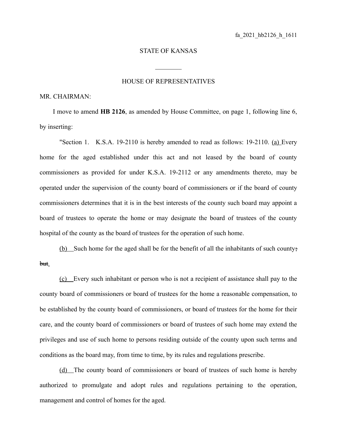## STATE OF KANSAS

 $\mathcal{L}_\text{max}$ 

## HOUSE OF REPRESENTATIVES

## MR. CHAIRMAN:

I move to amend **HB 2126**, as amended by House Committee, on page 1, following line 6, by inserting:

"Section 1. K.S.A. 19-2110 is hereby amended to read as follows: 19-2110. (a) Every home for the aged established under this act and not leased by the board of county commissioners as provided for under K.S.A. 19-2112 or any amendments thereto, may be operated under the supervision of the county board of commissioners or if the board of county commissioners determines that it is in the best interests of the county such board may appoint a board of trustees to operate the home or may designate the board of trustees of the county hospital of the county as the board of trustees for the operation of such home.

(b) Such home for the aged shall be for the benefit of all the inhabitants of such county; but.

(c) Every such inhabitant or person who is not a recipient of assistance shall pay to the county board of commissioners or board of trustees for the home a reasonable compensation, to be established by the county board of commissioners, or board of trustees for the home for their care, and the county board of commissioners or board of trustees of such home may extend the privileges and use of such home to persons residing outside of the county upon such terms and conditions as the board may, from time to time, by its rules and regulations prescribe.

(d) The county board of commissioners or board of trustees of such home is hereby authorized to promulgate and adopt rules and regulations pertaining to the operation, management and control of homes for the aged.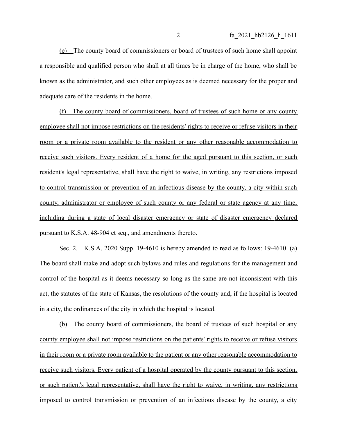(e) The county board of commissioners or board of trustees of such home shall appoint a responsible and qualified person who shall at all times be in charge of the home, who shall be known as the administrator, and such other employees as is deemed necessary for the proper and adequate care of the residents in the home.

(f) The county board of commissioners, board of trustees of such home or any county employee shall not impose restrictions on the residents' rights to receive or refuse visitors in their room or a private room available to the resident or any other reasonable accommodation to receive such visitors. Every resident of a home for the aged pursuant to this section, or such resident's legal representative, shall have the right to waive, in writing, any restrictions imposed to control transmission or prevention of an infectious disease by the county, a city within such county, administrator or employee of such county or any federal or state agency at any time, including during a state of local disaster emergency or state of disaster emergency declared pursuant to K.S.A. 48-904 et seq., and amendments thereto.

Sec. 2. K.S.A. 2020 Supp. 19-4610 is hereby amended to read as follows: 19-4610. (a) The board shall make and adopt such bylaws and rules and regulations for the management and control of the hospital as it deems necessary so long as the same are not inconsistent with this act, the statutes of the state of Kansas, the resolutions of the county and, if the hospital is located in a city, the ordinances of the city in which the hospital is located.

(b) The county board of commissioners, the board of trustees of such hospital or any county employee shall not impose restrictions on the patients' rights to receive or refuse visitors in their room or a private room available to the patient or any other reasonable accommodation to receive such visitors. Every patient of a hospital operated by the county pursuant to this section, or such patient's legal representative, shall have the right to waive, in writing, any restrictions imposed to control transmission or prevention of an infectious disease by the county, a city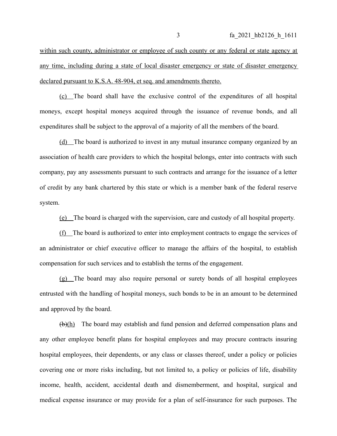within such county, administrator or employee of such county or any federal or state agency at any time, including during a state of local disaster emergency or state of disaster emergency declared pursuant to K.S.A. 48-904, et seq. and amendments thereto.

(c) The board shall have the exclusive control of the expenditures of all hospital moneys, except hospital moneys acquired through the issuance of revenue bonds, and all expenditures shall be subject to the approval of a majority of all the members of the board.

(d) The board is authorized to invest in any mutual insurance company organized by an association of health care providers to which the hospital belongs, enter into contracts with such company, pay any assessments pursuant to such contracts and arrange for the issuance of a letter of credit by any bank chartered by this state or which is a member bank of the federal reserve system.

(e) The board is charged with the supervision, care and custody of all hospital property.

(f) The board is authorized to enter into employment contracts to engage the services of an administrator or chief executive officer to manage the affairs of the hospital, to establish compensation for such services and to establish the terms of the engagement.

(g) The board may also require personal or surety bonds of all hospital employees entrusted with the handling of hospital moneys, such bonds to be in an amount to be determined and approved by the board.

 $(\frac{b)(h)}{h}$  The board may establish and fund pension and deferred compensation plans and any other employee benefit plans for hospital employees and may procure contracts insuring hospital employees, their dependents, or any class or classes thereof, under a policy or policies covering one or more risks including, but not limited to, a policy or policies of life, disability income, health, accident, accidental death and dismemberment, and hospital, surgical and medical expense insurance or may provide for a plan of self-insurance for such purposes. The